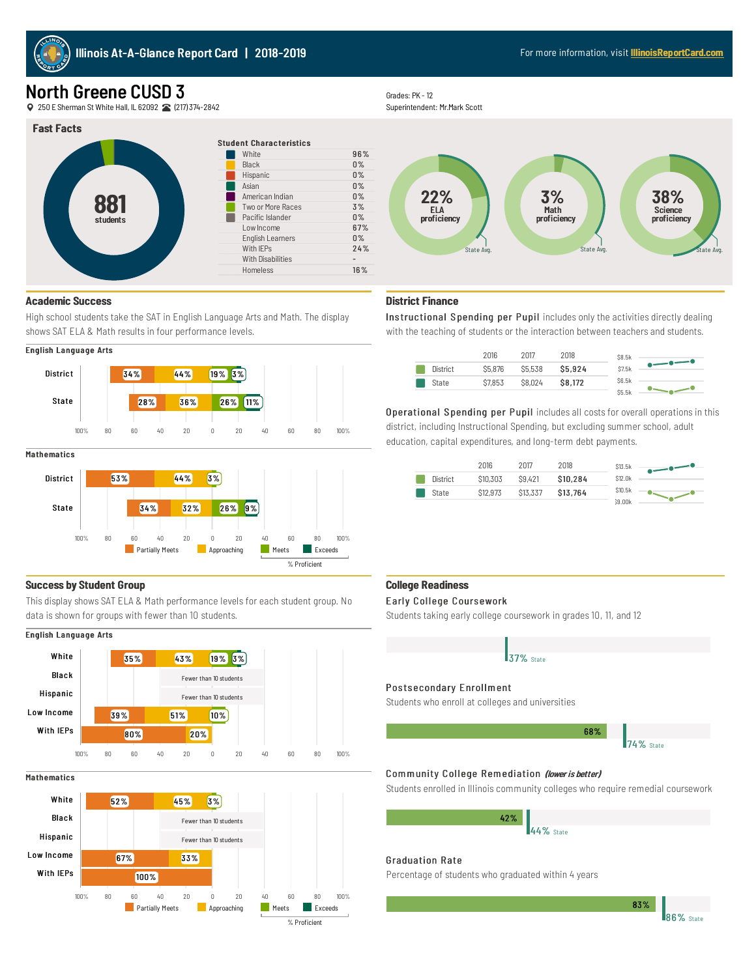

# North Greene CUSD 3

250EShermanStWhite Hall, IL62092 (217)374-2842

#### **Fast Facts**



# **Academic Success**

High school students take the SAT in English Language Arts and Math. The display shows SAT ELA & Math results in four performance levels.

# English Language Arts



#### **Mathematics**



#### **Success by Student Group**

This display shows SAT ELA & Math performance levels for each student group. No data is shown for groups with fewer than 10 students.

### English Language Arts



#### **Mathematics**





Superintendent: Mr.Mark Scott



# **District Finance**

Instructional Spending per Pupil includes only the activities directly dealing with the teaching of students or the interaction between teachers and students.



Operational Spending per Pupil includes all costs for overall operations in this district, including Instructional Spending, but excluding summer school, adult education, capital expenditures, and long-term debt payments.

|          | 2016     | 2017     | 2018     | \$13.5k |
|----------|----------|----------|----------|---------|
| District | \$10,303 | \$9,421  | \$10,284 | \$12.0k |
| State    | \$12,973 | \$13,337 | \$13,764 | \$10.5k |
|          |          |          |          | 39.00k  |

#### **College Readiness**

#### Early College Coursework

Students taking early college coursework in grades 10, 11, and 12



Students who enroll at colleges and universities



# Community College Remediation (lower is better)

Students enrolled in Illinois community colleges who require remedial coursework

44% State 42%

#### Graduation Rate

Percentage of students who graduated within 4 years